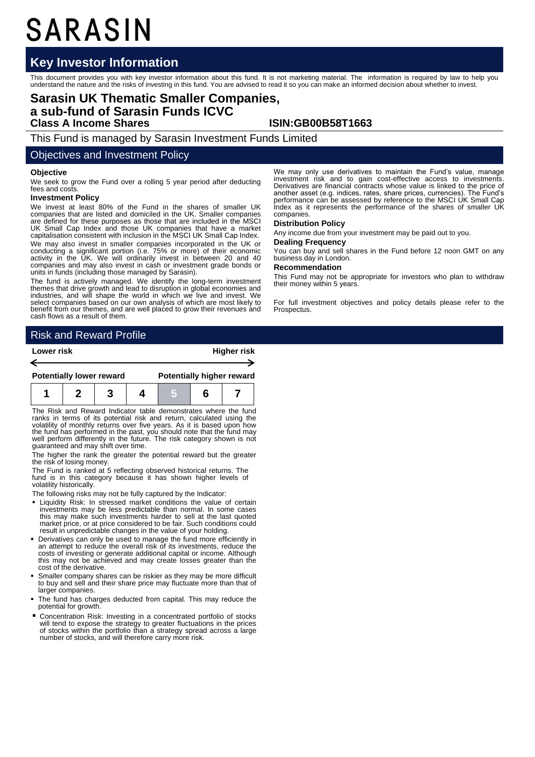# SARASIN

# **Key Investor Information**

This document provides you with key investor information about this fund. It is not marketing material. The information is required by law to help you<br>understand the nature and the risks of investing in this fund. You are

# **Sarasin UK Thematic Smaller Companies, a sub-fund of Sarasin Funds ICVC Class A Income Shares ISIN:GB00B58T1663**

This Fund is managed by Sarasin Investment Funds Limited

## Objectives and Investment Policy

#### **Objective**

We seek to grow the Fund over a rolling 5 year period after deducting fees and costs

#### **Investment Policy**

We invest at least 80% of the Fund in the shares of smaller UK companies that are listed and domiciled in the UK. Smaller companies are defined for these purposes as those that are included in the MSCI UK Small Cap Index and those UK companies that have a market capitalisation consistent with inclusion in the MSCI UK Small Cap Index. We may also invest in smaller companies incorporated in the UK or conducting a significant portion (i.e. 75% or more) of their economic activity in the UK. We will ordinarily invest in between 20 and 40 companies and may also invest in cash or investment grade bonds or units in funds (including those managed by Sarasin).

The fund is actively managed. We identify the long-term investment themes that drive growth and lead to disruption in global economies and industries, and will shape the world in which we live and invest. We select companies based on our own analysis of which are most likely to benefit from our themes, and are well placed to grow their revenues and cash flows as a result of them.

We may only use derivatives to maintain the Fund's value, manage investment risk and to gain cost-effective access to investments. Derivatives are financial contracts whose value is linked to the price of another asset (e.g. indices, rates, share prices, currencies). The Fund's performance can be assessed by reference to the MSCI UK Small Cap Index as it represents the performance of the shares of smaller UK companies.

#### **Distribution Policy**

Any income due from your investment may be paid out to you.

### **Dealing Frequency**

You can buy and sell shares in the Fund before 12 noon GMT on any business day in London.

#### **Recommendation**

This Fund may not be appropriate for investors who plan to withdraw their money within 5 years.

For full investment objectives and policy details please refer to the Prospectus.

# Risk and Reward Profile

| Lower risk |                                 |  |  | <b>Higher risk</b> |  |                                  |  |
|------------|---------------------------------|--|--|--------------------|--|----------------------------------|--|
|            |                                 |  |  |                    |  |                                  |  |
|            | <b>Potentially lower reward</b> |  |  |                    |  | <b>Potentially higher reward</b> |  |
|            |                                 |  |  |                    |  |                                  |  |

The Risk and Reward Indicator table demonstrates where the fund ranks in terms of its potential risk and return, calculated using the volatility of monthly returns over five years. As it is based upon how the fund has performed in the past, you should note that the fund may well perfor

The higher the rank the greater the potential reward but the greater the risk of losing money.

The Fund is ranked at 5 reflecting observed historical returns. The fund is in this category because it has shown higher levels of volatility historically.

The following risks may not be fully captured by the Indicator:

- **Example 1** Liquidity Risk: In stressed market conditions the value of certain investments may be less predictable than normal. In some cases this may make such investments harder to sell at the last quoted market price, or at price considered to be fair. Such conditions could result in unpredictable changes in the value of your holding.
- Derivatives can only be used to manage the fund more efficiently in an attempt to reduce the overall risk of its investments, reduce the costs of investing or generate additional capital or income. Although this may not be achieved and may create losses greater than the cost of the derivative.
- Smaller company shares can be riskier as they may be more difficult to buy and sell and their share price may fluctuate more than that of larger companies.
- The fund has charges deducted from capital. This may reduce the potential for growth.
- Concentration Risk: Investing in a concentrated portfolio of stocks will tend to expose the strategy to greater fluctuations in the prices of stocks within the portfolio than a strategy spread across a large number of stocks, and will therefore carry more risk.